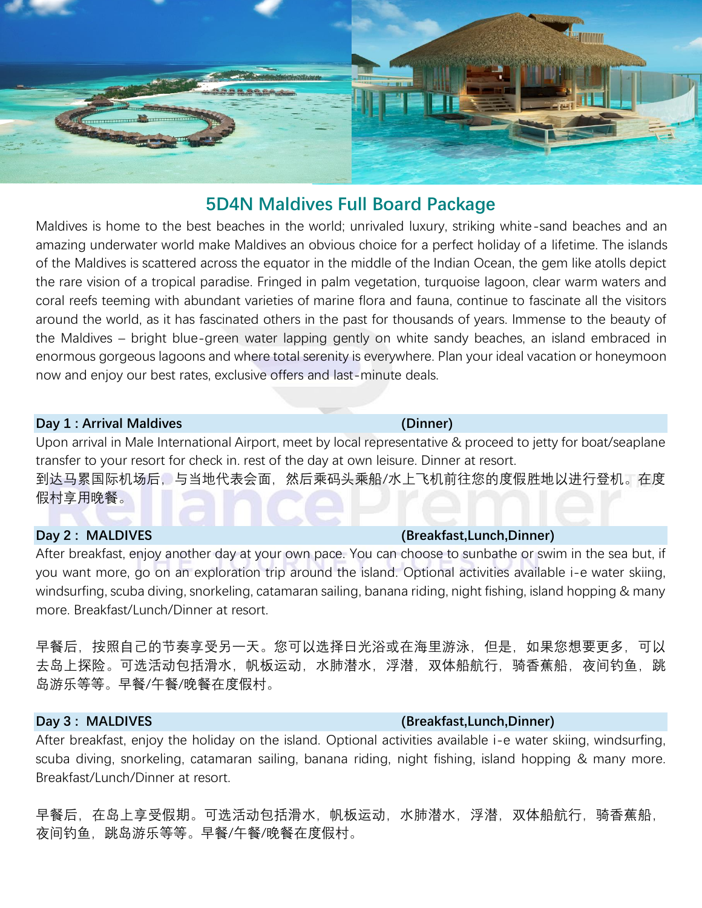

# **5D4N Maldives Full Board Package**

Maldives is home to the best beaches in the world; unrivaled luxury, striking white-sand beaches and an amazing underwater world make Maldives an obvious choice for a perfect holiday of a lifetime. The islands of the Maldives is scattered across the equator in the middle of the Indian Ocean, the gem like atolls depict the rare vision of a tropical paradise. Fringed in palm vegetation, turquoise lagoon, clear warm waters and coral reefs teeming with abundant varieties of marine flora and fauna, continue to fascinate all the visitors around the world, as it has fascinated others in the past for thousands of years. Immense to the beauty of the Maldives – bright blue-green water lapping gently on white sandy beaches, an island embraced in enormous gorgeous lagoons and where total serenity is everywhere. Plan your ideal vacation or honeymoon now and enjoy our best rates, exclusive offers and last-minute deals.

### **Day 1 : Arrival Maldives Contract Contract Contract Contract Contract Contract Contract Contract Contract Contract Contract Contract Contract Contract Contract Contract Contract Contract Contract Contract Contract Contr**

Upon arrival in Male International Airport, meet by local representative & proceed to jetty for boat/seaplane transfer to your resort for check in. rest of the day at own leisure. Dinner at resort. 到达马累国际机场后,与当地代表会面,然后乘码头乘船/水上飞机前往您的度假胜地以进行登机。在度 假村享用晚餐。

## **Day 2 : MALDIVES (Breakfast,Lunch,Dinner)**

After breakfast, enjoy another day at your own pace. You can choose to sunbathe or swim in the sea but, if you want more, go on an exploration trip around the island. Optional activities available i-e water skiing, windsurfing, scuba diving, snorkeling, catamaran sailing, banana riding, night fishing, island hopping & many more. Breakfast/Lunch/Dinner at resort.

早餐后,按照自己的节奏享受另一天。您可以选择日光浴或在海里游泳,但是,如果您想要更多,可以 去岛上探险。可选活动包括滑水,帆板运动,水肺潜水,浮潜,双体船航行,骑香蕉船,夜间钓鱼,跳 岛游乐等等。早餐/午餐/晚餐在度假村。

# **Day 3 : MALDIVES (Breakfast,Lunch,Dinner)**

After breakfast, enjoy the holiday on the island. Optional activities available i-e water skiing, windsurfing, scuba diving, snorkeling, catamaran sailing, banana riding, night fishing, island hopping & many more. Breakfast/Lunch/Dinner at resort.

早餐后,在岛上享受假期。可选活动包括滑水,帆板运动,水肺潜水,浮潜,双体船航行,骑香蕉船, 夜间钓鱼, 跳岛游乐等等。早餐/午餐/晚餐在度假村。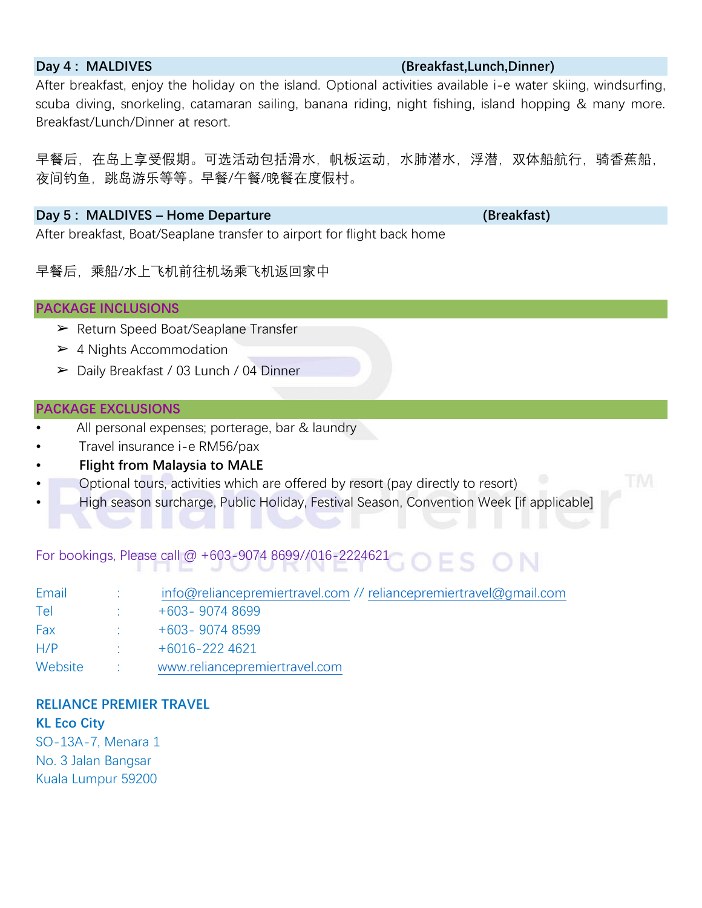### **Day 4 : MALDIVES (Breakfast,Lunch,Dinner)**

After breakfast, enjoy the holiday on the island. Optional activities available i-e water skiing, windsurfing, scuba diving, snorkeling, catamaran sailing, banana riding, night fishing, island hopping & many more. Breakfast/Lunch/Dinner at resort.

早餐后,在岛上享受假期。可选活动包括滑水,帆板运动,水肺潜水,浮潜,双体船航行,骑香蕉船, 夜间钓鱼,跳岛游乐等等。早餐/午餐/晚餐在度假村。

### **Day 5 : MALDIVES – Home Departure (Breakfast)**

After breakfast, Boat/Seaplane transfer to airport for flight back home

早餐后,乘船/水上飞机前往机场乘飞机返回家中

### **PACKAGE INCLUSIONS**

- ➢ Return Speed Boat/Seaplane Transfer
- $\geq 4$  Nights Accommodation
- ➢ Daily Breakfast / 03 Lunch / 04 Dinner

## **PACKAGE EXCLUSIONS**

- All personal expenses; porterage, bar & laundry
- Travel insurance i-e RM56/pax
- **Flight from Malaysia to MALE**
- Optional tours, activities which are offered by resort (pay directly to resort)
- High season surcharge, Public Holiday, Festival Season, Convention Week [if applicable]

#### For bookings, Please call @ +603-9074 8699//016-2224621 OFS ON

| Email   | info@reliancepremiertravel.com // reliancepremiertravel@gmail.com |
|---------|-------------------------------------------------------------------|
| Tel     | $+603 - 90748699$                                                 |
| Fax     | $+603 - 90748599$                                                 |
| H/P     | $+6016 - 2224621$                                                 |
| Website | www.reliancepremiertravel.com                                     |

# **RELIANCE PREMIER TRAVEL**

# **KL Eco City**

SO-13A-7, Menara 1 No. 3 Jalan Bangsar Kuala Lumpur 59200